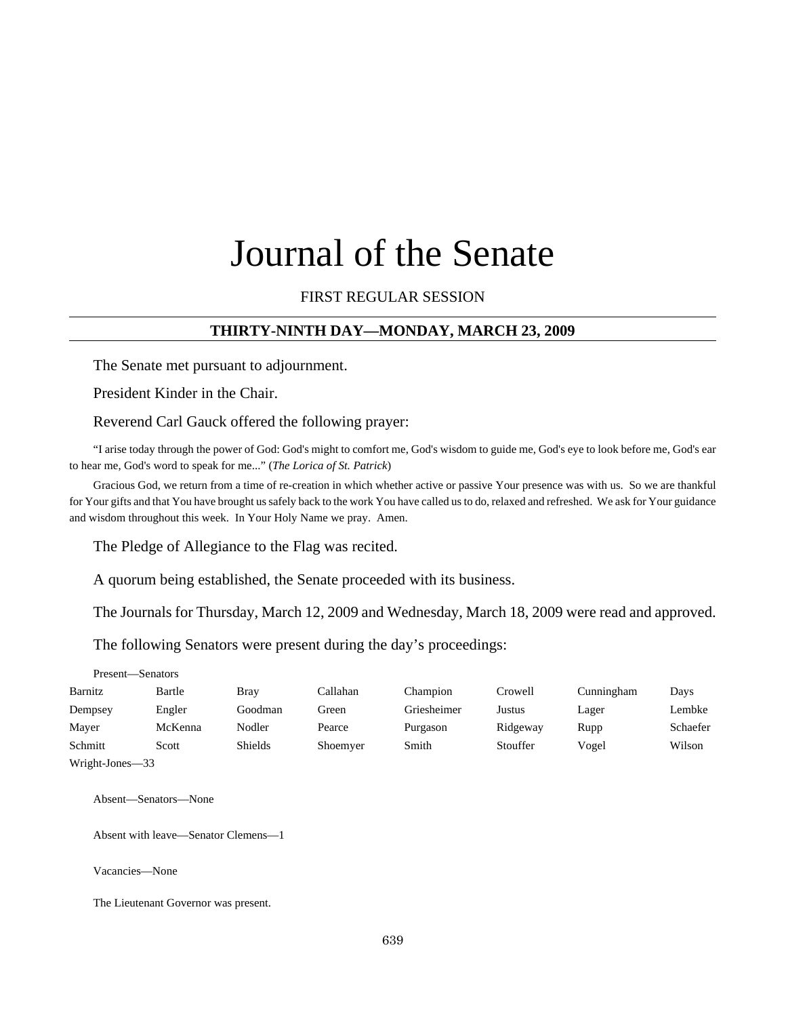# Journal of the Senate

# FIRST REGULAR SESSION

# **THIRTY-NINTH DAY—MONDAY, MARCH 23, 2009**

The Senate met pursuant to adjournment.

President Kinder in the Chair.

Reverend Carl Gauck offered the following prayer:

"I arise today through the power of God: God's might to comfort me, God's wisdom to guide me, God's eye to look before me, God's ear to hear me, God's word to speak for me..." (*The Lorica of St. Patrick*)

Gracious God, we return from a time of re-creation in which whether active or passive Your presence was with us. So we are thankful for Your gifts and that You have brought us safely back to the work You have called us to do, relaxed and refreshed. We ask for Your guidance and wisdom throughout this week. In Your Holy Name we pray. Amen.

The Pledge of Allegiance to the Flag was recited.

A quorum being established, the Senate proceeded with its business.

The Journals for Thursday, March 12, 2009 and Wednesday, March 18, 2009 were read and approved.

The following Senators were present during the day's proceedings:

| Barnitz | Bartle  | Bray    | Callahan | Champion    | Crowell  | Cunningham | Days     |
|---------|---------|---------|----------|-------------|----------|------------|----------|
| Dempsey | Engler  | Goodman | Green    | Griesheimer | Justus   | Lager      | Lembke   |
| Mayer   | McKenna | Nodler  | Pearce   | Purgason    | Ridgeway | Rupp       | Schaefer |
| Schmitt | Scott   | Shields | Shoemyer | Smith       | Stouffer | Vogel      | Wilson   |
|         |         |         |          |             |          |            |          |

Wright-Jones—33

Present—Senators

Absent—Senators—None

Absent with leave—Senator Clemens—1

Vacancies—None

The Lieutenant Governor was present.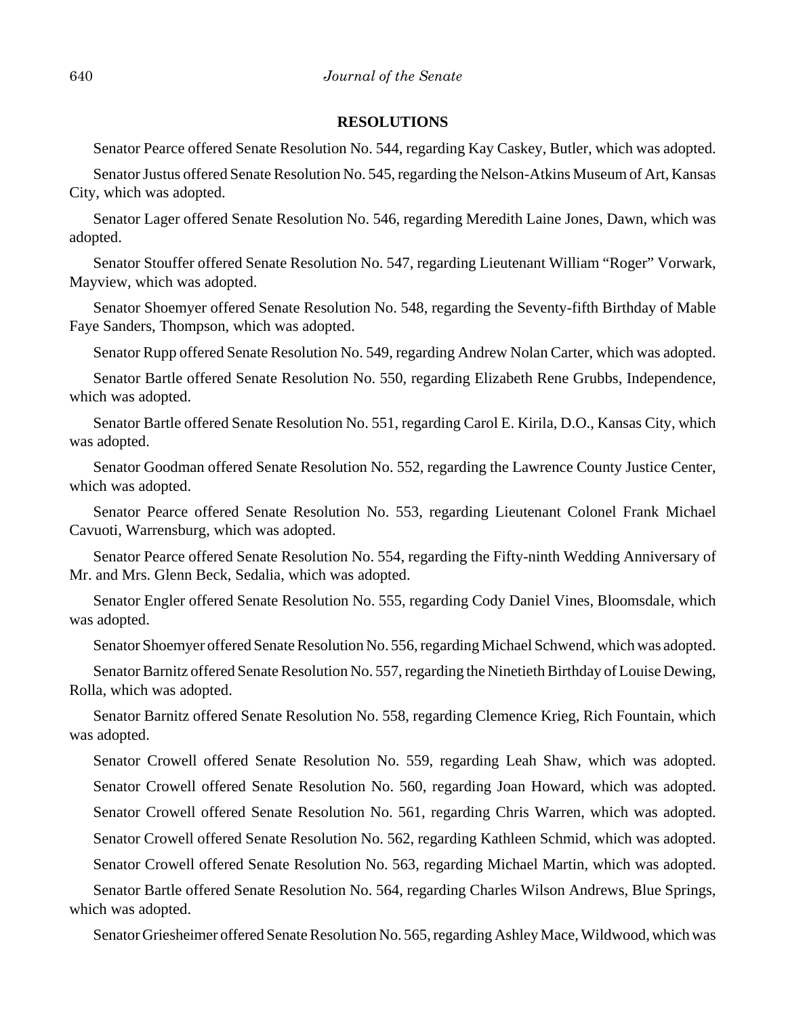## **RESOLUTIONS**

Senator Pearce offered Senate Resolution No. 544, regarding Kay Caskey, Butler, which was adopted.

Senator Justus offered Senate Resolution No. 545, regarding the Nelson-Atkins Museum of Art, Kansas City, which was adopted.

Senator Lager offered Senate Resolution No. 546, regarding Meredith Laine Jones, Dawn, which was adopted.

Senator Stouffer offered Senate Resolution No. 547, regarding Lieutenant William "Roger" Vorwark, Mayview, which was adopted.

Senator Shoemyer offered Senate Resolution No. 548, regarding the Seventy-fifth Birthday of Mable Faye Sanders, Thompson, which was adopted.

Senator Rupp offered Senate Resolution No. 549, regarding Andrew Nolan Carter, which was adopted.

Senator Bartle offered Senate Resolution No. 550, regarding Elizabeth Rene Grubbs, Independence, which was adopted.

Senator Bartle offered Senate Resolution No. 551, regarding Carol E. Kirila, D.O., Kansas City, which was adopted.

Senator Goodman offered Senate Resolution No. 552, regarding the Lawrence County Justice Center, which was adopted.

Senator Pearce offered Senate Resolution No. 553, regarding Lieutenant Colonel Frank Michael Cavuoti, Warrensburg, which was adopted.

Senator Pearce offered Senate Resolution No. 554, regarding the Fifty-ninth Wedding Anniversary of Mr. and Mrs. Glenn Beck, Sedalia, which was adopted.

Senator Engler offered Senate Resolution No. 555, regarding Cody Daniel Vines, Bloomsdale, which was adopted.

Senator Shoemyer offered Senate Resolution No. 556, regarding Michael Schwend, which was adopted.

Senator Barnitz offered Senate Resolution No. 557, regarding the Ninetieth Birthday of Louise Dewing, Rolla, which was adopted.

Senator Barnitz offered Senate Resolution No. 558, regarding Clemence Krieg, Rich Fountain, which was adopted.

Senator Crowell offered Senate Resolution No. 559, regarding Leah Shaw, which was adopted. Senator Crowell offered Senate Resolution No. 560, regarding Joan Howard, which was adopted. Senator Crowell offered Senate Resolution No. 561, regarding Chris Warren, which was adopted.

Senator Crowell offered Senate Resolution No. 562, regarding Kathleen Schmid, which was adopted.

Senator Crowell offered Senate Resolution No. 563, regarding Michael Martin, which was adopted.

Senator Bartle offered Senate Resolution No. 564, regarding Charles Wilson Andrews, Blue Springs, which was adopted.

Senator Griesheimer offered Senate Resolution No. 565, regarding Ashley Mace, Wildwood, which was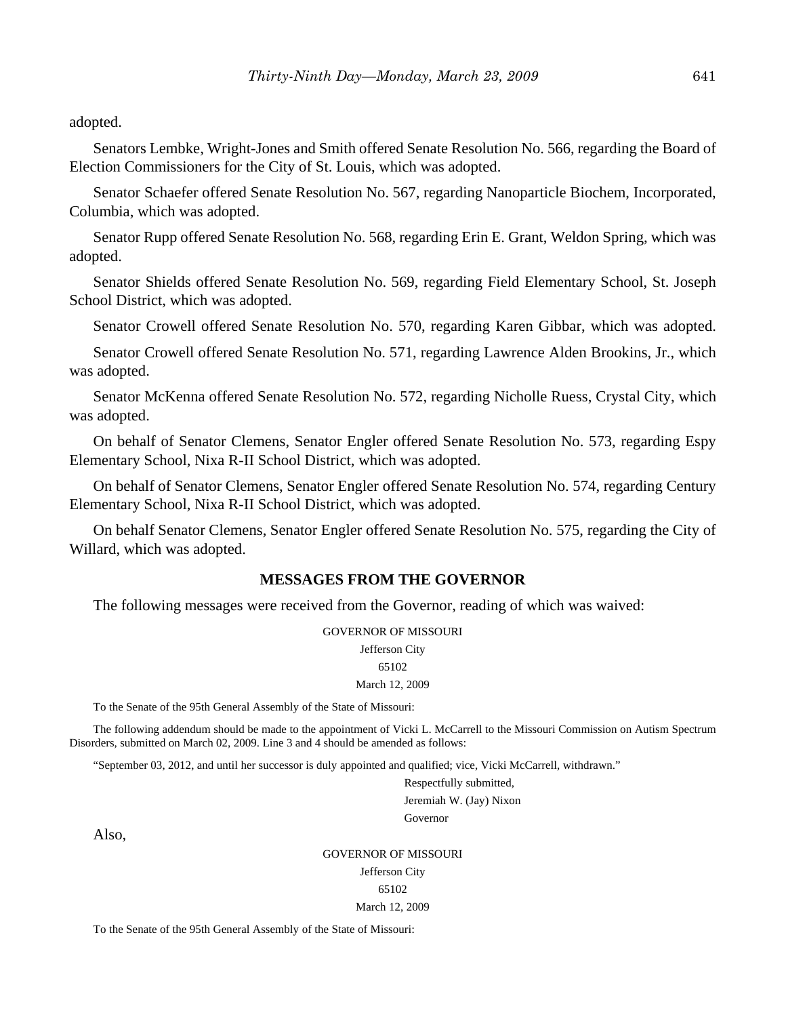adopted.

Senators Lembke, Wright-Jones and Smith offered Senate Resolution No. 566, regarding the Board of Election Commissioners for the City of St. Louis, which was adopted.

Senator Schaefer offered Senate Resolution No. 567, regarding Nanoparticle Biochem, Incorporated, Columbia, which was adopted.

Senator Rupp offered Senate Resolution No. 568, regarding Erin E. Grant, Weldon Spring, which was adopted.

Senator Shields offered Senate Resolution No. 569, regarding Field Elementary School, St. Joseph School District, which was adopted.

Senator Crowell offered Senate Resolution No. 570, regarding Karen Gibbar, which was adopted.

Senator Crowell offered Senate Resolution No. 571, regarding Lawrence Alden Brookins, Jr., which was adopted.

Senator McKenna offered Senate Resolution No. 572, regarding Nicholle Ruess, Crystal City, which was adopted.

On behalf of Senator Clemens, Senator Engler offered Senate Resolution No. 573, regarding Espy Elementary School, Nixa R-II School District, which was adopted.

On behalf of Senator Clemens, Senator Engler offered Senate Resolution No. 574, regarding Century Elementary School, Nixa R-II School District, which was adopted.

On behalf Senator Clemens, Senator Engler offered Senate Resolution No. 575, regarding the City of Willard, which was adopted.

# **MESSAGES FROM THE GOVERNOR**

The following messages were received from the Governor, reading of which was waived:

#### GOVERNOR OF MISSOURI

Jefferson City

#### 65102

March 12, 2009

To the Senate of the 95th General Assembly of the State of Missouri:

The following addendum should be made to the appointment of Vicki L. McCarrell to the Missouri Commission on Autism Spectrum Disorders, submitted on March 02, 2009. Line 3 and 4 should be amended as follows:

"September 03, 2012, and until her successor is duly appointed and qualified; vice, Vicki McCarrell, withdrawn."

Respectfully submitted, Jeremiah W. (Jay) Nixon Governor

Also,

#### GOVERNOR OF MISSOURI

Jefferson City

65102

#### March 12, 2009

To the Senate of the 95th General Assembly of the State of Missouri: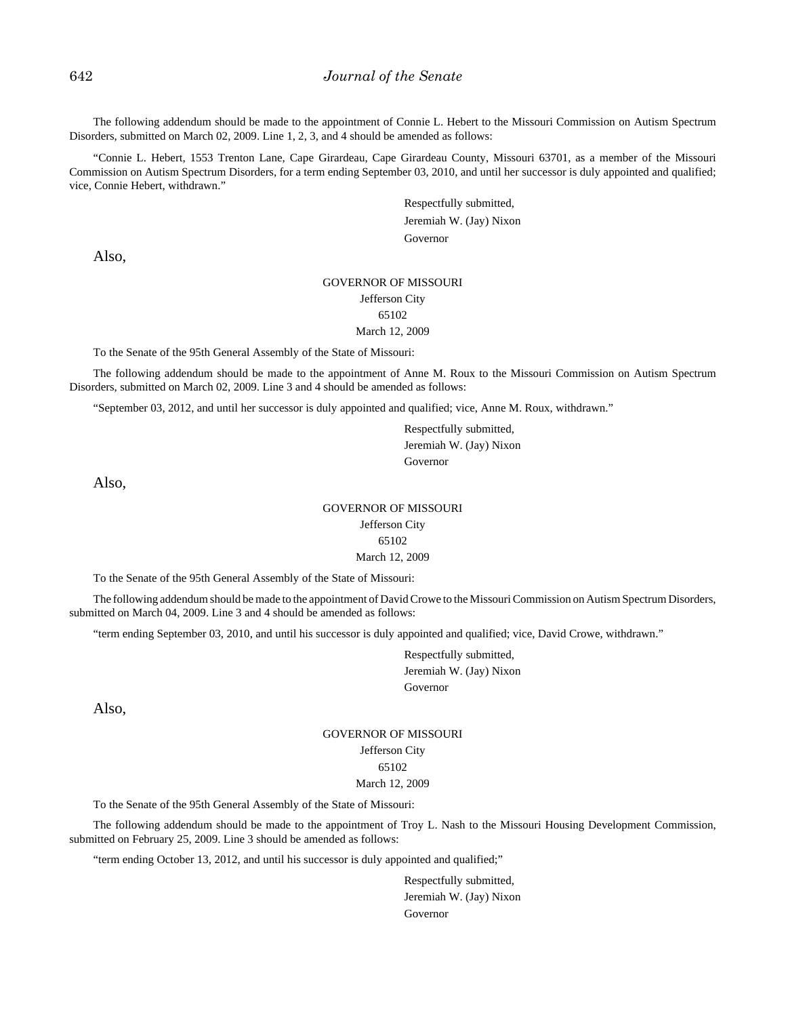The following addendum should be made to the appointment of Connie L. Hebert to the Missouri Commission on Autism Spectrum Disorders, submitted on March 02, 2009. Line 1, 2, 3, and 4 should be amended as follows:

"Connie L. Hebert, 1553 Trenton Lane, Cape Girardeau, Cape Girardeau County, Missouri 63701, as a member of the Missouri Commission on Autism Spectrum Disorders, for a term ending September 03, 2010, and until her successor is duly appointed and qualified; vice, Connie Hebert, withdrawn."

> Respectfully submitted, Jeremiah W. (Jay) Nixon Governor

Also,

# GOVERNOR OF MISSOURI Jefferson City

#### 65102 March 12, 2009

To the Senate of the 95th General Assembly of the State of Missouri:

The following addendum should be made to the appointment of Anne M. Roux to the Missouri Commission on Autism Spectrum Disorders, submitted on March 02, 2009. Line 3 and 4 should be amended as follows:

"September 03, 2012, and until her successor is duly appointed and qualified; vice, Anne M. Roux, withdrawn."

Respectfully submitted, Jeremiah W. (Jay) Nixon Governor

Also,

# GOVERNOR OF MISSOURI Jefferson City 65102 March 12, 2009

To the Senate of the 95th General Assembly of the State of Missouri:

The following addendum should be made to the appointment of David Crowe to the Missouri Commission on Autism Spectrum Disorders, submitted on March 04, 2009. Line 3 and 4 should be amended as follows:

"term ending September 03, 2010, and until his successor is duly appointed and qualified; vice, David Crowe, withdrawn."

Respectfully submitted, Jeremiah W. (Jay) Nixon Governor

Also,

GOVERNOR OF MISSOURI Jefferson City 65102 March 12, 2009

To the Senate of the 95th General Assembly of the State of Missouri:

The following addendum should be made to the appointment of Troy L. Nash to the Missouri Housing Development Commission, submitted on February 25, 2009. Line 3 should be amended as follows:

"term ending October 13, 2012, and until his successor is duly appointed and qualified;"

Respectfully submitted, Jeremiah W. (Jay) Nixon Governor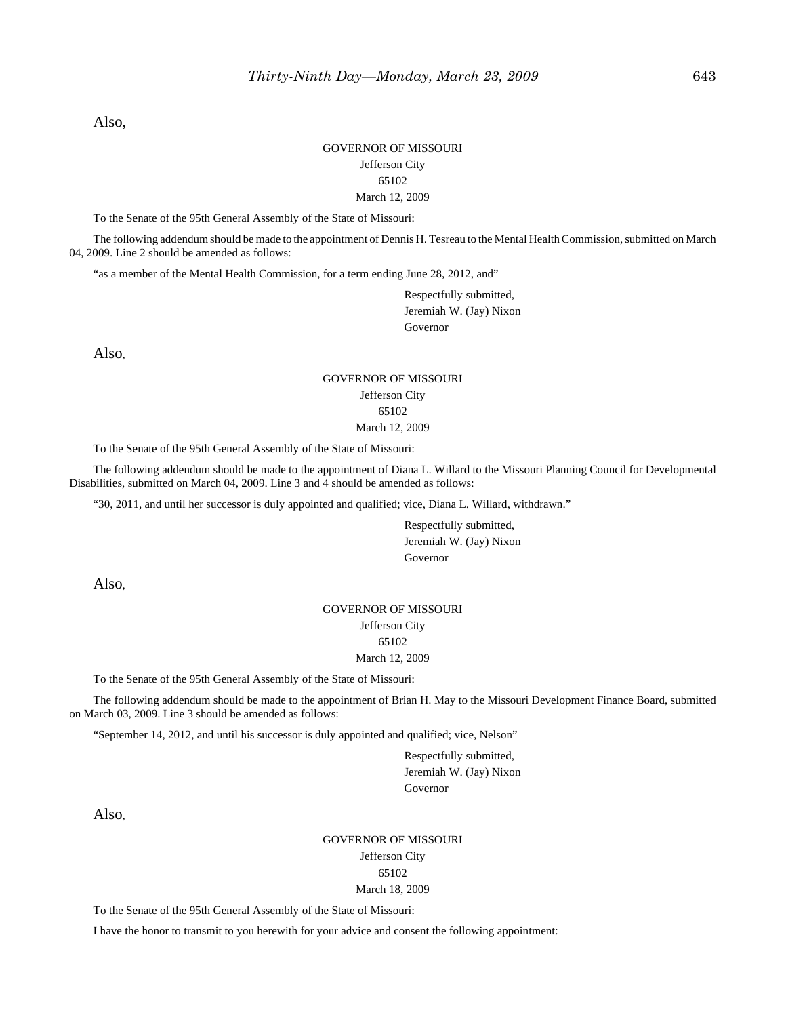Also,

#### GOVERNOR OF MISSOURI Jefferson City 65102 March 12, 2009

To the Senate of the 95th General Assembly of the State of Missouri:

The following addendum should be made to the appointment of Dennis H. Tesreau to the Mental Health Commission, submitted on March 04, 2009. Line 2 should be amended as follows:

"as a member of the Mental Health Commission, for a term ending June 28, 2012, and"

Respectfully submitted, Jeremiah W. (Jay) Nixon Governor

Also,

#### GOVERNOR OF MISSOURI Jefferson City 65102 March 12, 2009

To the Senate of the 95th General Assembly of the State of Missouri:

The following addendum should be made to the appointment of Diana L. Willard to the Missouri Planning Council for Developmental Disabilities, submitted on March 04, 2009. Line 3 and 4 should be amended as follows:

"30, 2011, and until her successor is duly appointed and qualified; vice, Diana L. Willard, withdrawn."

Respectfully submitted, Jeremiah W. (Jay) Nixon Governor

Also,

# GOVERNOR OF MISSOURI

#### Jefferson City 65102

# March 12, 2009

To the Senate of the 95th General Assembly of the State of Missouri:

The following addendum should be made to the appointment of Brian H. May to the Missouri Development Finance Board, submitted on March 03, 2009. Line 3 should be amended as follows:

"September 14, 2012, and until his successor is duly appointed and qualified; vice, Nelson"

Respectfully submitted, Jeremiah W. (Jay) Nixon Governor

Also,

#### GOVERNOR OF MISSOURI Jefferson City 65102 March 18, 2009

To the Senate of the 95th General Assembly of the State of Missouri:

I have the honor to transmit to you herewith for your advice and consent the following appointment: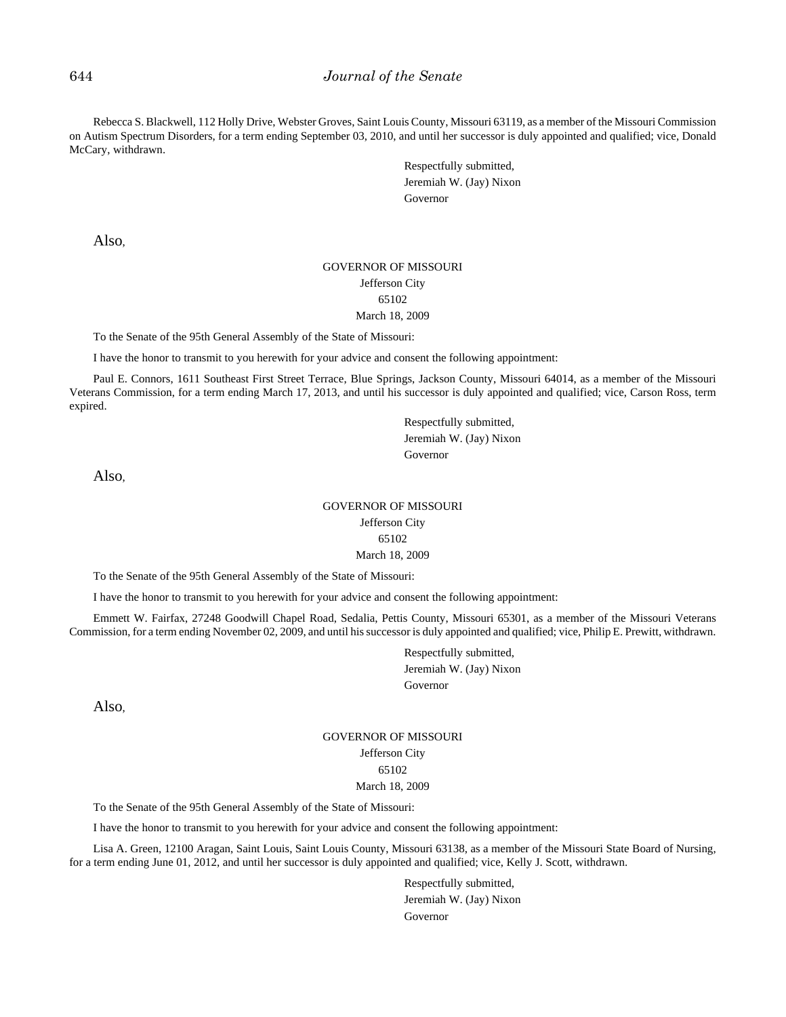Rebecca S. Blackwell, 112 Holly Drive, Webster Groves, Saint Louis County, Missouri 63119, as a member of the Missouri Commission on Autism Spectrum Disorders, for a term ending September 03, 2010, and until her successor is duly appointed and qualified; vice, Donald McCary, withdrawn.

> Respectfully submitted, Jeremiah W. (Jay) Nixon Governor

Also,

#### GOVERNOR OF MISSOURI Jefferson City 65102 March 18, 2009

To the Senate of the 95th General Assembly of the State of Missouri:

I have the honor to transmit to you herewith for your advice and consent the following appointment:

Paul E. Connors, 1611 Southeast First Street Terrace, Blue Springs, Jackson County, Missouri 64014, as a member of the Missouri Veterans Commission, for a term ending March 17, 2013, and until his successor is duly appointed and qualified; vice, Carson Ross, term expired.

> Respectfully submitted, Jeremiah W. (Jay) Nixon Governor

Also,

#### GOVERNOR OF MISSOURI Jefferson City

65102

March 18, 2009

To the Senate of the 95th General Assembly of the State of Missouri:

I have the honor to transmit to you herewith for your advice and consent the following appointment:

Emmett W. Fairfax, 27248 Goodwill Chapel Road, Sedalia, Pettis County, Missouri 65301, as a member of the Missouri Veterans Commission, for a term ending November 02, 2009, and until his successor is duly appointed and qualified; vice, Philip E. Prewitt, withdrawn.

> Respectfully submitted, Jeremiah W. (Jay) Nixon Governor

Also,

GOVERNOR OF MISSOURI Jefferson City 65102 March 18, 2009

To the Senate of the 95th General Assembly of the State of Missouri:

I have the honor to transmit to you herewith for your advice and consent the following appointment:

Lisa A. Green, 12100 Aragan, Saint Louis, Saint Louis County, Missouri 63138, as a member of the Missouri State Board of Nursing, for a term ending June 01, 2012, and until her successor is duly appointed and qualified; vice, Kelly J. Scott, withdrawn.

> Respectfully submitted, Jeremiah W. (Jay) Nixon Governor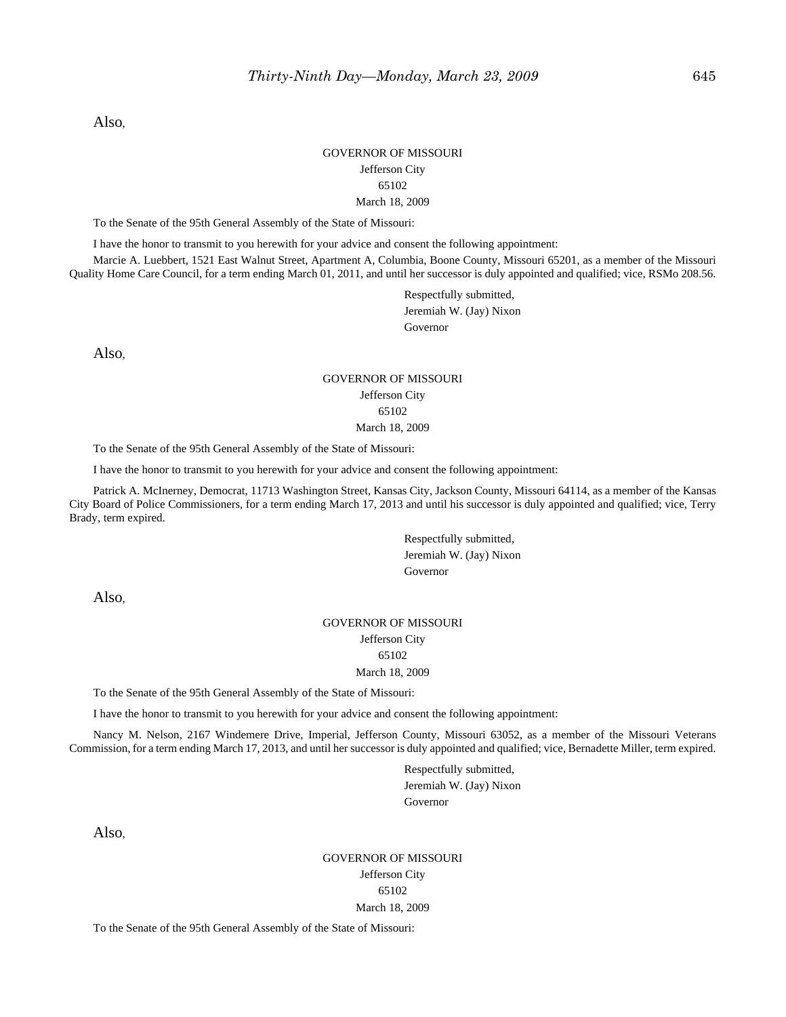Also,

#### GOVERNOR OF MISSOURI Jefferson City 65102 March 18, 2009

To the Senate of the 95th General Assembly of the State of Missouri:

I have the honor to transmit to you herewith for your advice and consent the following appointment:

Marcie A. Luebbert, 1521 East Walnut Street, Apartment A, Columbia, Boone County, Missouri 65201, as a member of the Missouri Quality Home Care Council, for a term ending March 01, 2011, and until her successor is duly appointed and qualified; vice, RSMo 208.56.

> Respectfully submitted, Jeremiah W. (Jay) Nixon Governor

Also,

#### GOVERNOR OF MISSOURI Jefferson City 65102 March 18, 2009

To the Senate of the 95th General Assembly of the State of Missouri:

I have the honor to transmit to you herewith for your advice and consent the following appointment:

Patrick A. McInerney, Democrat, 11713 Washington Street, Kansas City, Jackson County, Missouri 64114, as a member of the Kansas City Board of Police Commissioners, for a term ending March 17, 2013 and until his successor is duly appointed and qualified; vice, Terry Brady, term expired.

> Respectfully submitted, Jeremiah W. (Jay) Nixon Governor

Also,

# GOVERNOR OF MISSOURI Jefferson City 65102

#### March 18, 2009

To the Senate of the 95th General Assembly of the State of Missouri:

I have the honor to transmit to you herewith for your advice and consent the following appointment:

Nancy M. Nelson, 2167 Windemere Drive, Imperial, Jefferson County, Missouri 63052, as a member of the Missouri Veterans Commission, for a term ending March 17, 2013, and until her successor is duly appointed and qualified; vice, Bernadette Miller, term expired.

> Respectfully submitted, Jeremiah W. (Jay) Nixon Governor

Also,

GOVERNOR OF MISSOURI Jefferson City 65102 March 18, 2009

To the Senate of the 95th General Assembly of the State of Missouri: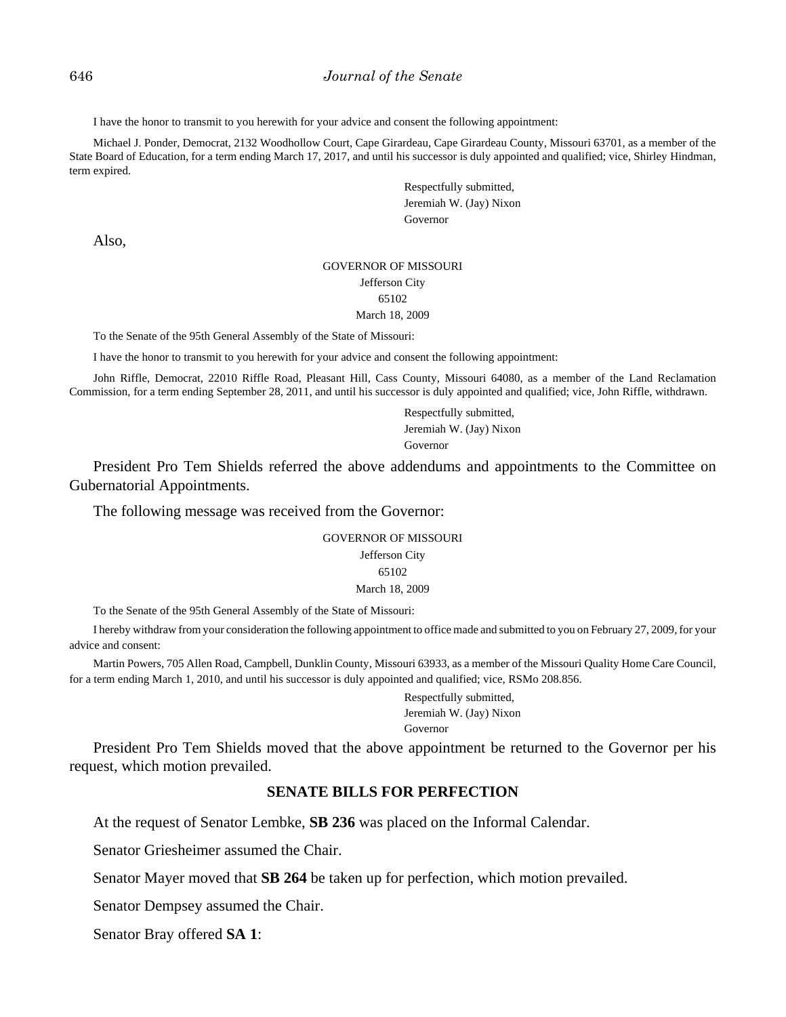I have the honor to transmit to you herewith for your advice and consent the following appointment:

Michael J. Ponder, Democrat, 2132 Woodhollow Court, Cape Girardeau, Cape Girardeau County, Missouri 63701, as a member of the State Board of Education, for a term ending March 17, 2017, and until his successor is duly appointed and qualified; vice, Shirley Hindman, term expired.

> Respectfully submitted, Jeremiah W. (Jay) Nixon Governor

Also,

#### GOVERNOR OF MISSOURI Jefferson City

# 65102

#### March 18, 2009

To the Senate of the 95th General Assembly of the State of Missouri:

I have the honor to transmit to you herewith for your advice and consent the following appointment:

John Riffle, Democrat, 22010 Riffle Road, Pleasant Hill, Cass County, Missouri 64080, as a member of the Land Reclamation Commission, for a term ending September 28, 2011, and until his successor is duly appointed and qualified; vice, John Riffle, withdrawn.

> Respectfully submitted, Jeremiah W. (Jay) Nixon Governor

President Pro Tem Shields referred the above addendums and appointments to the Committee on Gubernatorial Appointments.

The following message was received from the Governor:

GOVERNOR OF MISSOURI Jefferson City 65102 March 18, 2009

To the Senate of the 95th General Assembly of the State of Missouri:

I hereby withdraw from your consideration the following appointment to office made and submitted to you on February 27, 2009, for your advice and consent:

Martin Powers, 705 Allen Road, Campbell, Dunklin County, Missouri 63933, as a member of the Missouri Quality Home Care Council, for a term ending March 1, 2010, and until his successor is duly appointed and qualified; vice, RSMo 208.856.

> Respectfully submitted, Jeremiah W. (Jay) Nixon Governor

President Pro Tem Shields moved that the above appointment be returned to the Governor per his request, which motion prevailed.

# **SENATE BILLS FOR PERFECTION**

At the request of Senator Lembke, **SB 236** was placed on the Informal Calendar.

Senator Griesheimer assumed the Chair.

Senator Mayer moved that **SB 264** be taken up for perfection, which motion prevailed.

Senator Dempsey assumed the Chair.

Senator Bray offered **SA 1**: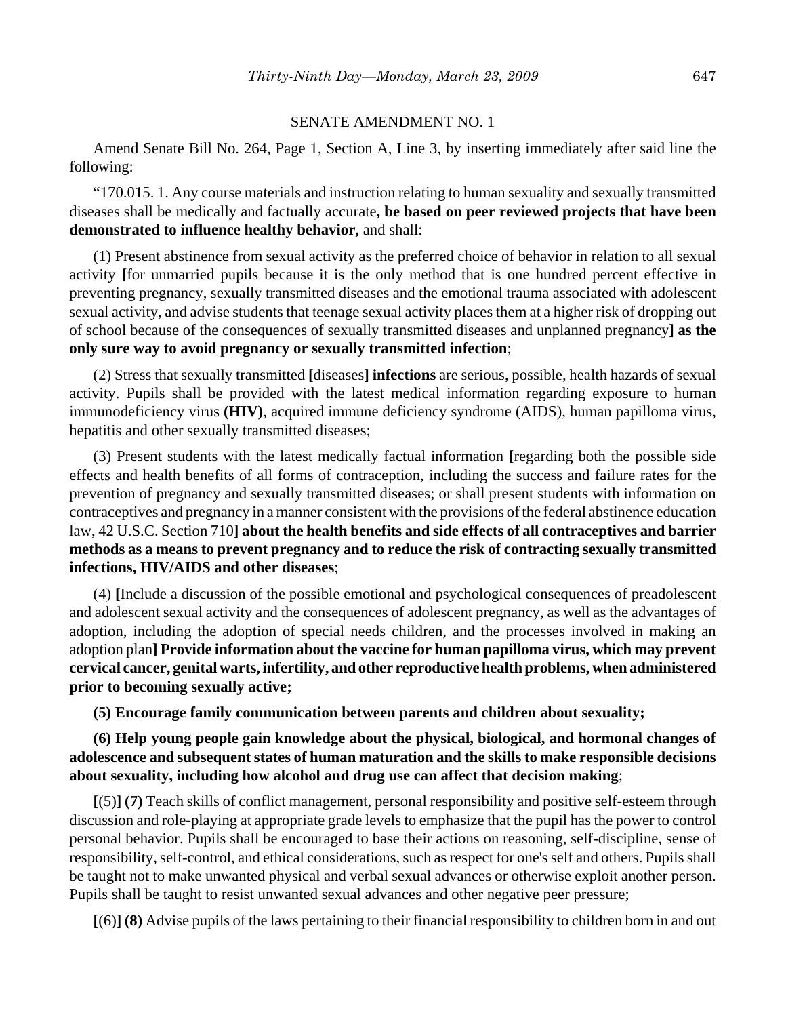#### SENATE AMENDMENT NO. 1

Amend Senate Bill No. 264, Page 1, Section A, Line 3, by inserting immediately after said line the following:

"170.015. 1. Any course materials and instruction relating to human sexuality and sexually transmitted diseases shall be medically and factually accurate**, be based on peer reviewed projects that have been demonstrated to influence healthy behavior,** and shall:

(1) Present abstinence from sexual activity as the preferred choice of behavior in relation to all sexual activity **[**for unmarried pupils because it is the only method that is one hundred percent effective in preventing pregnancy, sexually transmitted diseases and the emotional trauma associated with adolescent sexual activity, and advise students that teenage sexual activity places them at a higher risk of dropping out of school because of the consequences of sexually transmitted diseases and unplanned pregnancy**] as the only sure way to avoid pregnancy or sexually transmitted infection**;

(2) Stress that sexually transmitted **[**diseases**] infections** are serious, possible, health hazards of sexual activity. Pupils shall be provided with the latest medical information regarding exposure to human immunodeficiency virus **(HIV)**, acquired immune deficiency syndrome (AIDS), human papilloma virus, hepatitis and other sexually transmitted diseases;

(3) Present students with the latest medically factual information **[**regarding both the possible side effects and health benefits of all forms of contraception, including the success and failure rates for the prevention of pregnancy and sexually transmitted diseases; or shall present students with information on contraceptives and pregnancy in a manner consistent with the provisions of the federal abstinence education law, 42 U.S.C. Section 710**] about the health benefits and side effects of all contraceptives and barrier methods as a means to prevent pregnancy and to reduce the risk of contracting sexually transmitted infections, HIV/AIDS and other diseases**;

(4) **[**Include a discussion of the possible emotional and psychological consequences of preadolescent and adolescent sexual activity and the consequences of adolescent pregnancy, as well as the advantages of adoption, including the adoption of special needs children, and the processes involved in making an adoption plan**] Provide information about the vaccine for human papilloma virus, which may prevent cervical cancer, genital warts, infertility, and other reproductive health problems, when administered prior to becoming sexually active;**

**(5) Encourage family communication between parents and children about sexuality;**

**(6) Help young people gain knowledge about the physical, biological, and hormonal changes of adolescence and subsequent states of human maturation and the skills to make responsible decisions about sexuality, including how alcohol and drug use can affect that decision making**;

**[**(5)**] (7)** Teach skills of conflict management, personal responsibility and positive self-esteem through discussion and role-playing at appropriate grade levels to emphasize that the pupil has the power to control personal behavior. Pupils shall be encouraged to base their actions on reasoning, self-discipline, sense of responsibility, self-control, and ethical considerations, such as respect for one's self and others. Pupils shall be taught not to make unwanted physical and verbal sexual advances or otherwise exploit another person. Pupils shall be taught to resist unwanted sexual advances and other negative peer pressure;

**[**(6)**] (8)** Advise pupils of the laws pertaining to their financial responsibility to children born in and out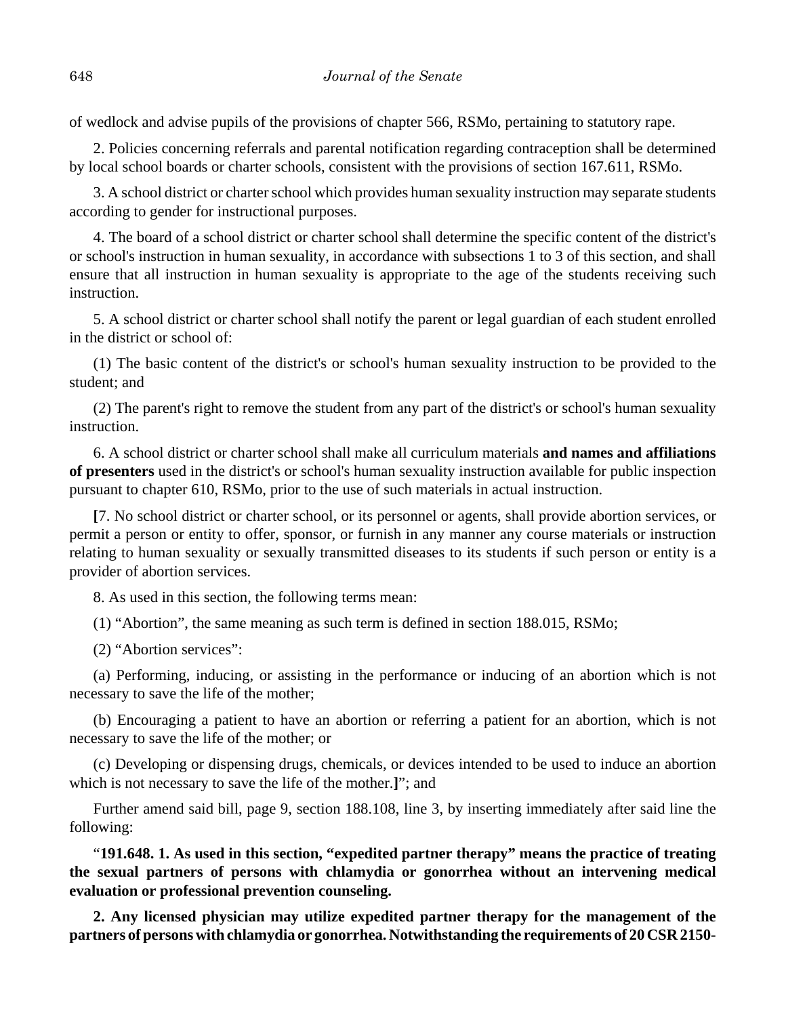of wedlock and advise pupils of the provisions of chapter 566, RSMo, pertaining to statutory rape.

2. Policies concerning referrals and parental notification regarding contraception shall be determined by local school boards or charter schools, consistent with the provisions of section 167.611, RSMo.

3. A school district or charter school which provides human sexuality instruction may separate students according to gender for instructional purposes.

4. The board of a school district or charter school shall determine the specific content of the district's or school's instruction in human sexuality, in accordance with subsections 1 to 3 of this section, and shall ensure that all instruction in human sexuality is appropriate to the age of the students receiving such instruction.

5. A school district or charter school shall notify the parent or legal guardian of each student enrolled in the district or school of:

(1) The basic content of the district's or school's human sexuality instruction to be provided to the student; and

(2) The parent's right to remove the student from any part of the district's or school's human sexuality instruction.

6. A school district or charter school shall make all curriculum materials **and names and affiliations of presenters** used in the district's or school's human sexuality instruction available for public inspection pursuant to chapter 610, RSMo, prior to the use of such materials in actual instruction.

**[**7. No school district or charter school, or its personnel or agents, shall provide abortion services, or permit a person or entity to offer, sponsor, or furnish in any manner any course materials or instruction relating to human sexuality or sexually transmitted diseases to its students if such person or entity is a provider of abortion services.

8. As used in this section, the following terms mean:

(1) "Abortion", the same meaning as such term is defined in section 188.015, RSMo;

(2) "Abortion services":

(a) Performing, inducing, or assisting in the performance or inducing of an abortion which is not necessary to save the life of the mother;

(b) Encouraging a patient to have an abortion or referring a patient for an abortion, which is not necessary to save the life of the mother; or

(c) Developing or dispensing drugs, chemicals, or devices intended to be used to induce an abortion which is not necessary to save the life of the mother.**]**"; and

Further amend said bill, page 9, section 188.108, line 3, by inserting immediately after said line the following:

"**191.648. 1. As used in this section, "expedited partner therapy" means the practice of treating the sexual partners of persons with chlamydia or gonorrhea without an intervening medical evaluation or professional prevention counseling.**

**2. Any licensed physician may utilize expedited partner therapy for the management of the partners of persons with chlamydia or gonorrhea. Notwithstanding the requirements of 20 CSR 2150-**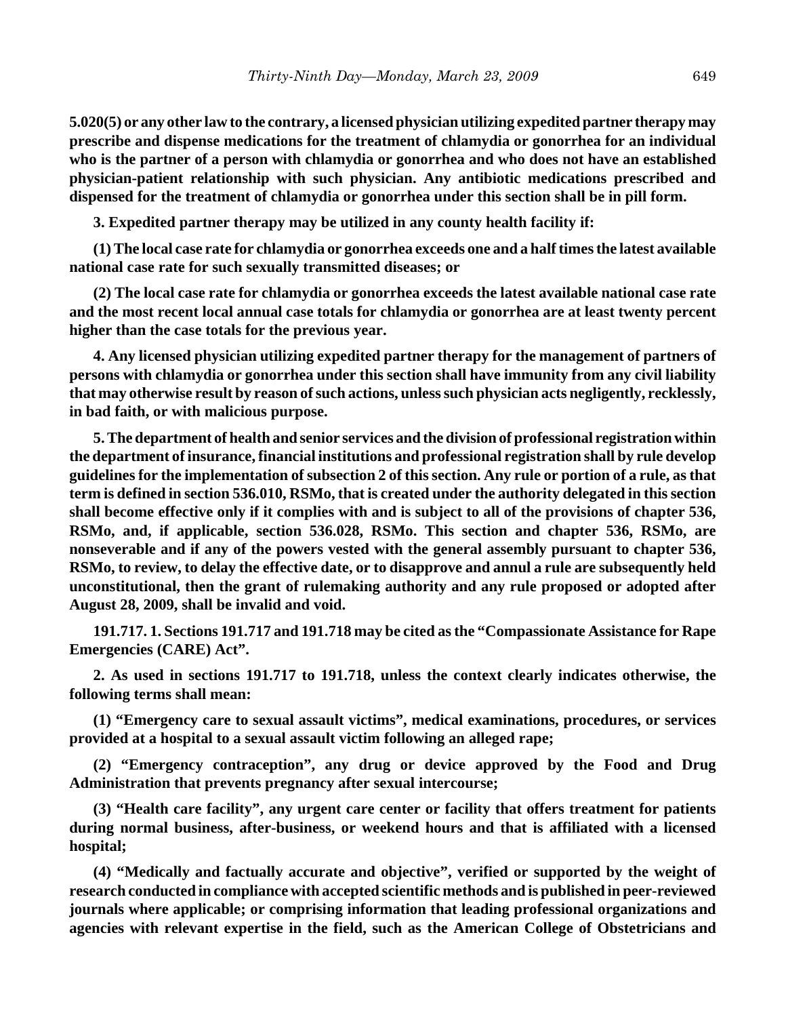**5.020(5) or any other law to the contrary, a licensed physician utilizing expedited partner therapy may prescribe and dispense medications for the treatment of chlamydia or gonorrhea for an individual who is the partner of a person with chlamydia or gonorrhea and who does not have an established physician-patient relationship with such physician. Any antibiotic medications prescribed and dispensed for the treatment of chlamydia or gonorrhea under this section shall be in pill form.**

**3. Expedited partner therapy may be utilized in any county health facility if:**

**(1) The local case rate for chlamydia or gonorrhea exceeds one and a half times the latest available national case rate for such sexually transmitted diseases; or**

**(2) The local case rate for chlamydia or gonorrhea exceeds the latest available national case rate and the most recent local annual case totals for chlamydia or gonorrhea are at least twenty percent higher than the case totals for the previous year.**

**4. Any licensed physician utilizing expedited partner therapy for the management of partners of persons with chlamydia or gonorrhea under this section shall have immunity from any civil liability that may otherwise result by reason of such actions, unless such physician acts negligently, recklessly, in bad faith, or with malicious purpose.**

**5. The department of health and senior services and the division of professional registration within the department of insurance, financial institutions and professional registration shall by rule develop guidelines for the implementation of subsection 2 of this section. Any rule or portion of a rule, as that term is defined in section 536.010, RSMo, that is created under the authority delegated in this section shall become effective only if it complies with and is subject to all of the provisions of chapter 536, RSMo, and, if applicable, section 536.028, RSMo. This section and chapter 536, RSMo, are nonseverable and if any of the powers vested with the general assembly pursuant to chapter 536, RSMo, to review, to delay the effective date, or to disapprove and annul a rule are subsequently held unconstitutional, then the grant of rulemaking authority and any rule proposed or adopted after August 28, 2009, shall be invalid and void.**

**191.717. 1. Sections 191.717 and 191.718 may be cited as the "Compassionate Assistance for Rape Emergencies (CARE) Act".**

**2. As used in sections 191.717 to 191.718, unless the context clearly indicates otherwise, the following terms shall mean:**

**(1) "Emergency care to sexual assault victims", medical examinations, procedures, or services provided at a hospital to a sexual assault victim following an alleged rape;**

**(2) "Emergency contraception", any drug or device approved by the Food and Drug Administration that prevents pregnancy after sexual intercourse;**

**(3) "Health care facility", any urgent care center or facility that offers treatment for patients during normal business, after-business, or weekend hours and that is affiliated with a licensed hospital;**

**(4) "Medically and factually accurate and objective", verified or supported by the weight of research conducted in compliance with accepted scientific methods and is published in peer-reviewed journals where applicable; or comprising information that leading professional organizations and agencies with relevant expertise in the field, such as the American College of Obstetricians and**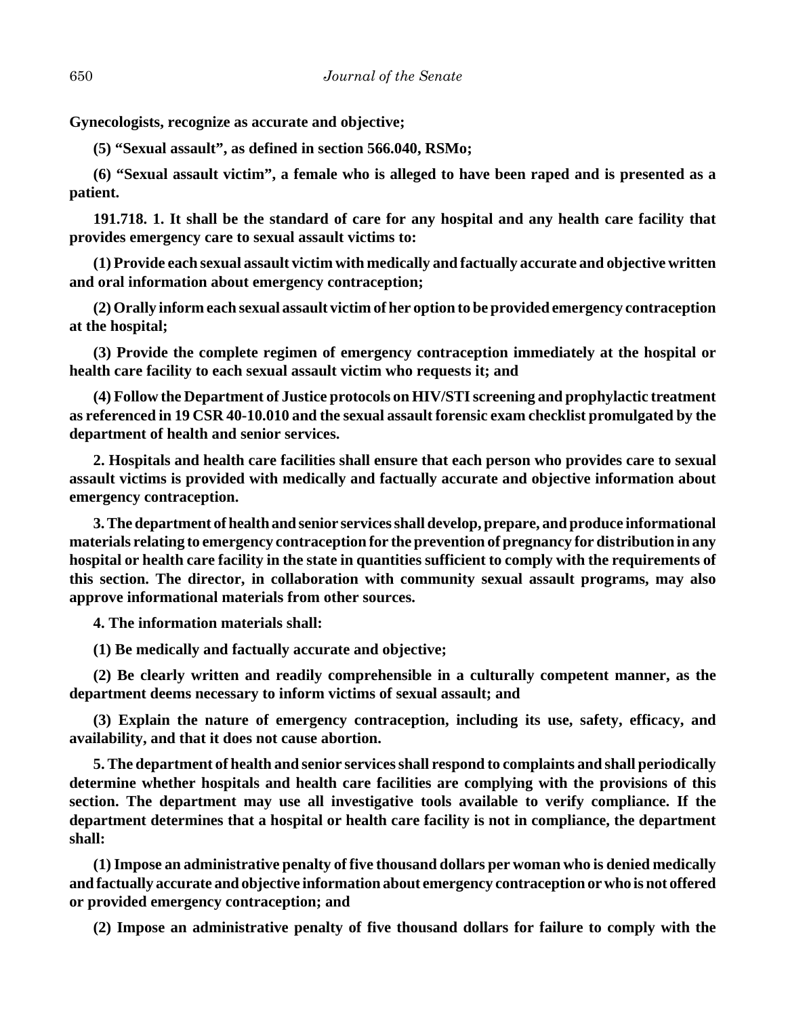**Gynecologists, recognize as accurate and objective;**

**(5) "Sexual assault", as defined in section 566.040, RSMo;**

**(6) "Sexual assault victim", a female who is alleged to have been raped and is presented as a patient.**

**191.718. 1. It shall be the standard of care for any hospital and any health care facility that provides emergency care to sexual assault victims to:**

**(1) Provide each sexual assault victim with medically and factually accurate and objective written and oral information about emergency contraception;**

**(2) Orally inform each sexual assault victim of her option to be provided emergency contraception at the hospital;**

**(3) Provide the complete regimen of emergency contraception immediately at the hospital or health care facility to each sexual assault victim who requests it; and**

**(4) Follow the Department of Justice protocols on HIV/STI screening and prophylactic treatment as referenced in 19 CSR 40-10.010 and the sexual assault forensic exam checklist promulgated by the department of health and senior services.**

**2. Hospitals and health care facilities shall ensure that each person who provides care to sexual assault victims is provided with medically and factually accurate and objective information about emergency contraception.**

**3. The department of health and senior services shall develop, prepare, and produce informational materials relating to emergency contraception for the prevention of pregnancy for distribution in any hospital or health care facility in the state in quantities sufficient to comply with the requirements of this section. The director, in collaboration with community sexual assault programs, may also approve informational materials from other sources.**

**4. The information materials shall:**

**(1) Be medically and factually accurate and objective;**

**(2) Be clearly written and readily comprehensible in a culturally competent manner, as the department deems necessary to inform victims of sexual assault; and**

**(3) Explain the nature of emergency contraception, including its use, safety, efficacy, and availability, and that it does not cause abortion.**

**5. The department of health and senior services shall respond to complaints and shall periodically determine whether hospitals and health care facilities are complying with the provisions of this section. The department may use all investigative tools available to verify compliance. If the department determines that a hospital or health care facility is not in compliance, the department shall:**

**(1) Impose an administrative penalty of five thousand dollars per woman who is denied medically and factually accurate and objective information about emergency contraception or who is not offered or provided emergency contraception; and**

**(2) Impose an administrative penalty of five thousand dollars for failure to comply with the**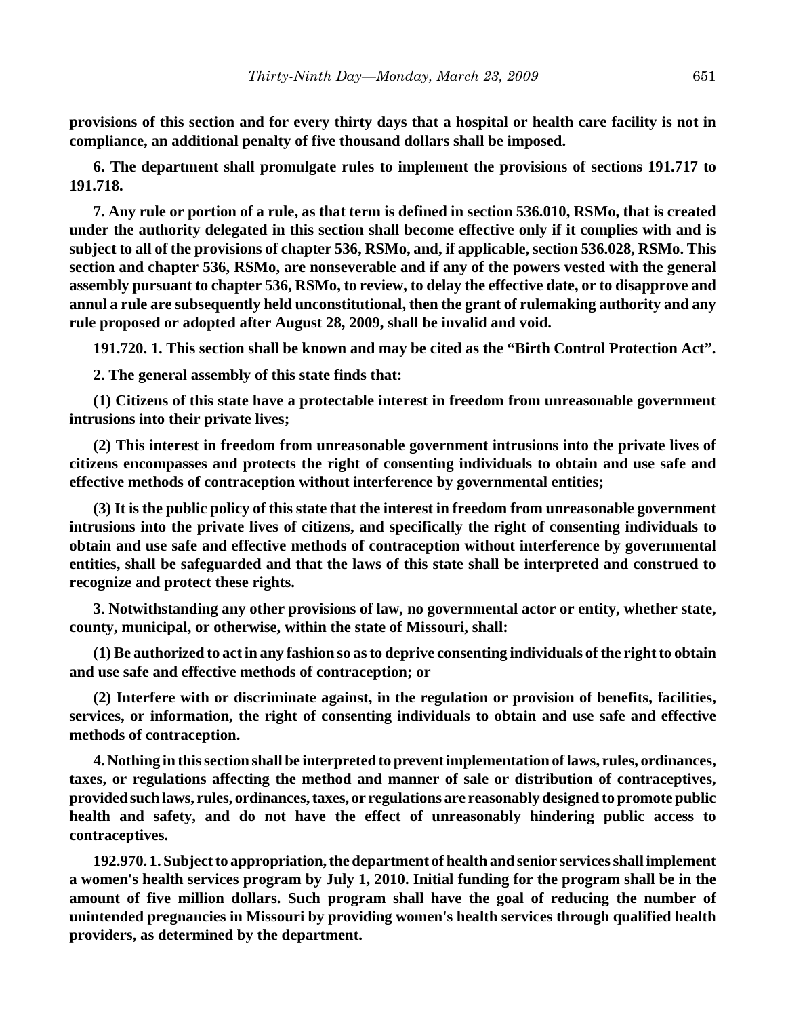**provisions of this section and for every thirty days that a hospital or health care facility is not in compliance, an additional penalty of five thousand dollars shall be imposed.**

**6. The department shall promulgate rules to implement the provisions of sections 191.717 to 191.718.**

**7. Any rule or portion of a rule, as that term is defined in section 536.010, RSMo, that is created under the authority delegated in this section shall become effective only if it complies with and is subject to all of the provisions of chapter 536, RSMo, and, if applicable, section 536.028, RSMo. This section and chapter 536, RSMo, are nonseverable and if any of the powers vested with the general assembly pursuant to chapter 536, RSMo, to review, to delay the effective date, or to disapprove and annul a rule are subsequently held unconstitutional, then the grant of rulemaking authority and any rule proposed or adopted after August 28, 2009, shall be invalid and void.**

**191.720. 1. This section shall be known and may be cited as the "Birth Control Protection Act".**

**2. The general assembly of this state finds that:**

**(1) Citizens of this state have a protectable interest in freedom from unreasonable government intrusions into their private lives;**

**(2) This interest in freedom from unreasonable government intrusions into the private lives of citizens encompasses and protects the right of consenting individuals to obtain and use safe and effective methods of contraception without interference by governmental entities;**

**(3) It is the public policy of this state that the interest in freedom from unreasonable government intrusions into the private lives of citizens, and specifically the right of consenting individuals to obtain and use safe and effective methods of contraception without interference by governmental entities, shall be safeguarded and that the laws of this state shall be interpreted and construed to recognize and protect these rights.**

**3. Notwithstanding any other provisions of law, no governmental actor or entity, whether state, county, municipal, or otherwise, within the state of Missouri, shall:**

**(1) Be authorized to act in any fashion so as to deprive consenting individuals of the right to obtain and use safe and effective methods of contraception; or**

**(2) Interfere with or discriminate against, in the regulation or provision of benefits, facilities, services, or information, the right of consenting individuals to obtain and use safe and effective methods of contraception.**

**4. Nothing in this section shall be interpreted to prevent implementation of laws, rules, ordinances, taxes, or regulations affecting the method and manner of sale or distribution of contraceptives, provided such laws, rules, ordinances, taxes, or regulations are reasonably designed to promote public health and safety, and do not have the effect of unreasonably hindering public access to contraceptives.**

**192.970. 1. Subject to appropriation, the department of health and senior services shall implement a women's health services program by July 1, 2010. Initial funding for the program shall be in the amount of five million dollars. Such program shall have the goal of reducing the number of unintended pregnancies in Missouri by providing women's health services through qualified health providers, as determined by the department.**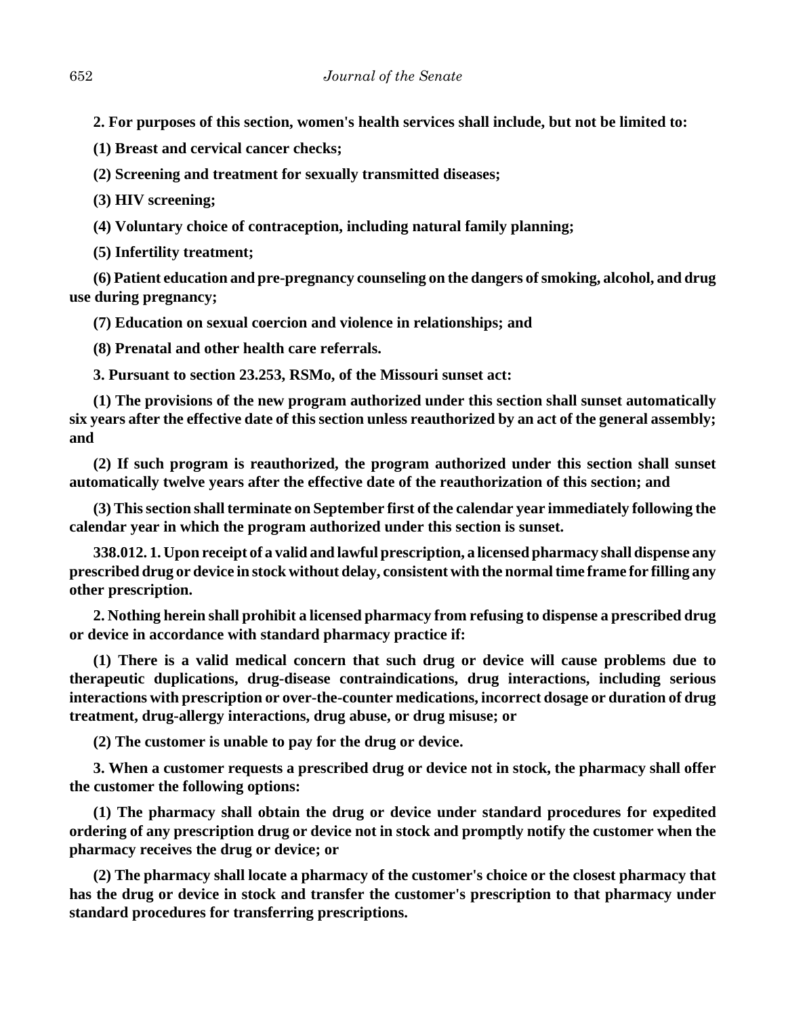**2. For purposes of this section, women's health services shall include, but not be limited to:**

**(1) Breast and cervical cancer checks;**

**(2) Screening and treatment for sexually transmitted diseases;**

**(3) HIV screening;**

**(4) Voluntary choice of contraception, including natural family planning;**

**(5) Infertility treatment;**

**(6) Patient education and pre-pregnancy counseling on the dangers of smoking, alcohol, and drug use during pregnancy;**

**(7) Education on sexual coercion and violence in relationships; and**

**(8) Prenatal and other health care referrals.**

**3. Pursuant to section 23.253, RSMo, of the Missouri sunset act:**

**(1) The provisions of the new program authorized under this section shall sunset automatically six years after the effective date of this section unless reauthorized by an act of the general assembly; and**

**(2) If such program is reauthorized, the program authorized under this section shall sunset automatically twelve years after the effective date of the reauthorization of this section; and**

**(3) This section shall terminate on September first of the calendar year immediately following the calendar year in which the program authorized under this section is sunset.**

**338.012. 1. Upon receipt of a valid and lawful prescription, a licensed pharmacy shall dispense any prescribed drug or device in stock without delay, consistent with the normal time frame for filling any other prescription.**

**2. Nothing herein shall prohibit a licensed pharmacy from refusing to dispense a prescribed drug or device in accordance with standard pharmacy practice if:**

**(1) There is a valid medical concern that such drug or device will cause problems due to therapeutic duplications, drug-disease contraindications, drug interactions, including serious interactions with prescription or over-the-counter medications, incorrect dosage or duration of drug treatment, drug-allergy interactions, drug abuse, or drug misuse; or**

**(2) The customer is unable to pay for the drug or device.**

**3. When a customer requests a prescribed drug or device not in stock, the pharmacy shall offer the customer the following options:**

**(1) The pharmacy shall obtain the drug or device under standard procedures for expedited ordering of any prescription drug or device not in stock and promptly notify the customer when the pharmacy receives the drug or device; or**

**(2) The pharmacy shall locate a pharmacy of the customer's choice or the closest pharmacy that has the drug or device in stock and transfer the customer's prescription to that pharmacy under standard procedures for transferring prescriptions.**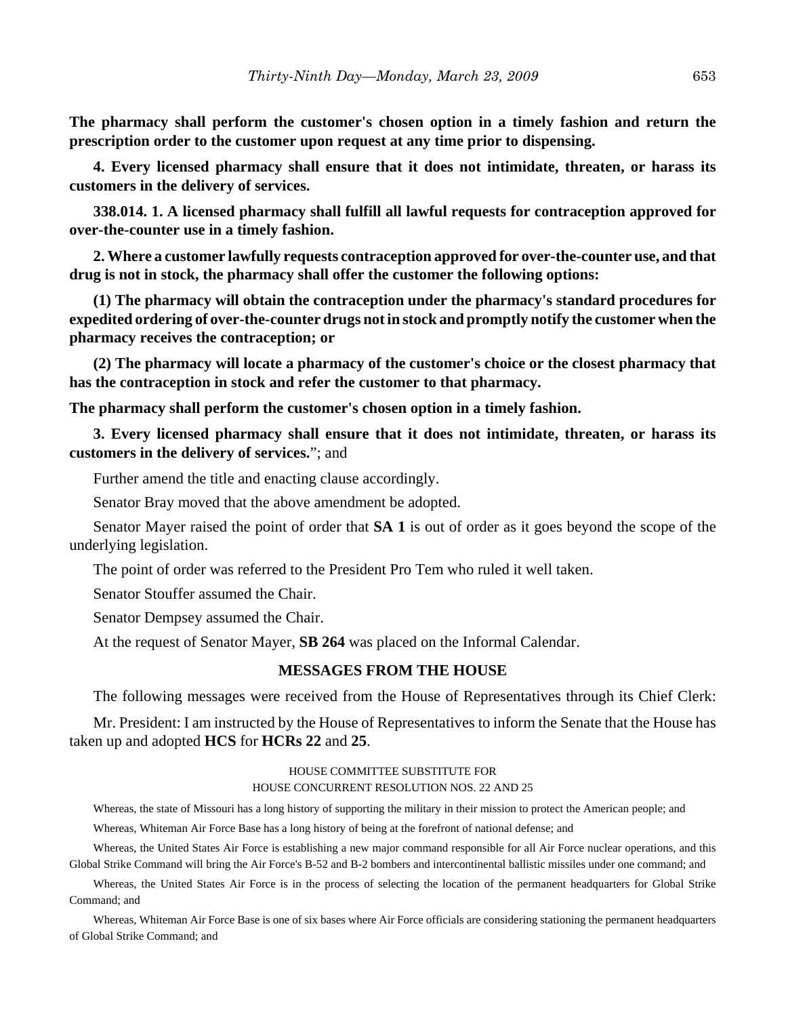**The pharmacy shall perform the customer's chosen option in a timely fashion and return the prescription order to the customer upon request at any time prior to dispensing.**

**4. Every licensed pharmacy shall ensure that it does not intimidate, threaten, or harass its customers in the delivery of services.**

**338.014. 1. A licensed pharmacy shall fulfill all lawful requests for contraception approved for over-the-counter use in a timely fashion.**

**2. Where a customer lawfully requests contraception approved for over-the-counter use, and that drug is not in stock, the pharmacy shall offer the customer the following options:**

**(1) The pharmacy will obtain the contraception under the pharmacy's standard procedures for expedited ordering of over-the-counter drugs not in stock and promptly notify the customer when the pharmacy receives the contraception; or**

**(2) The pharmacy will locate a pharmacy of the customer's choice or the closest pharmacy that has the contraception in stock and refer the customer to that pharmacy.**

**The pharmacy shall perform the customer's chosen option in a timely fashion.**

**3. Every licensed pharmacy shall ensure that it does not intimidate, threaten, or harass its customers in the delivery of services.**"; and

Further amend the title and enacting clause accordingly.

Senator Bray moved that the above amendment be adopted.

Senator Mayer raised the point of order that **SA 1** is out of order as it goes beyond the scope of the underlying legislation.

The point of order was referred to the President Pro Tem who ruled it well taken.

Senator Stouffer assumed the Chair.

Senator Dempsey assumed the Chair.

At the request of Senator Mayer, **SB 264** was placed on the Informal Calendar.

## **MESSAGES FROM THE HOUSE**

The following messages were received from the House of Representatives through its Chief Clerk:

Mr. President: I am instructed by the House of Representatives to inform the Senate that the House has taken up and adopted **HCS** for **HCRs 22** and **25**.

#### HOUSE COMMITTEE SUBSTITUTE FOR HOUSE CONCURRENT RESOLUTION NOS. 22 AND 25

Whereas, the state of Missouri has a long history of supporting the military in their mission to protect the American people; and

Whereas, Whiteman Air Force Base has a long history of being at the forefront of national defense; and

Whereas, the United States Air Force is establishing a new major command responsible for all Air Force nuclear operations, and this Global Strike Command will bring the Air Force's B-52 and B-2 bombers and intercontinental ballistic missiles under one command; and

Whereas, the United States Air Force is in the process of selecting the location of the permanent headquarters for Global Strike Command; and

Whereas, Whiteman Air Force Base is one of six bases where Air Force officials are considering stationing the permanent headquarters of Global Strike Command; and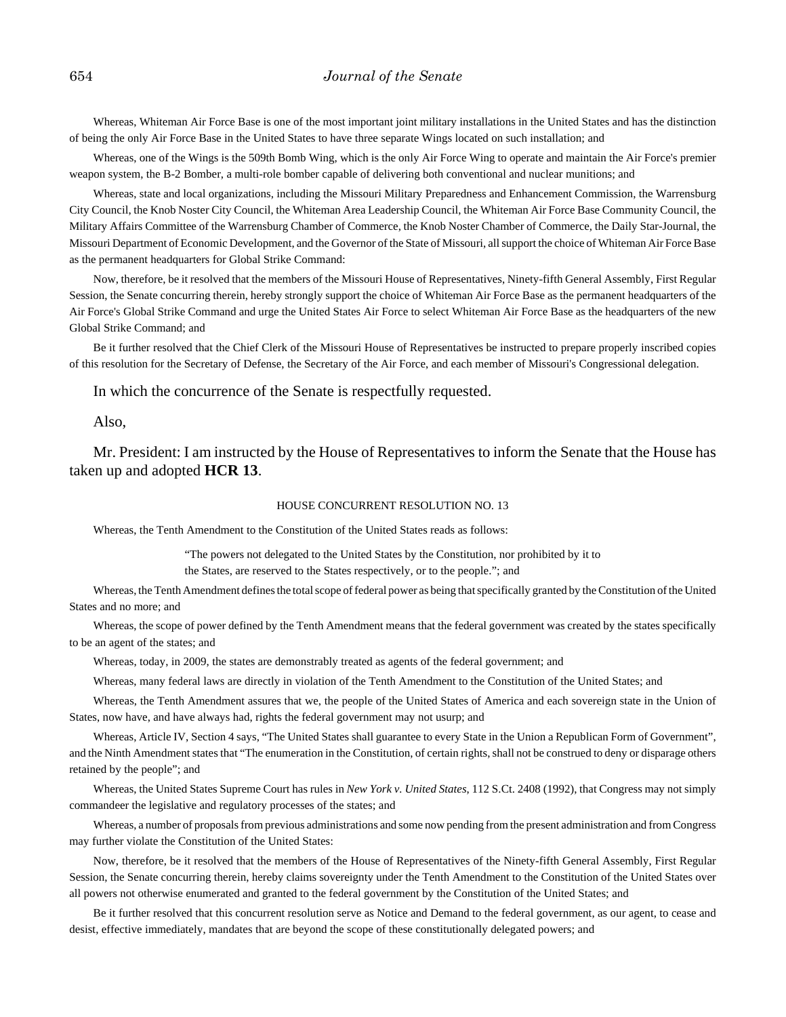Whereas, Whiteman Air Force Base is one of the most important joint military installations in the United States and has the distinction of being the only Air Force Base in the United States to have three separate Wings located on such installation; and

Whereas, one of the Wings is the 509th Bomb Wing, which is the only Air Force Wing to operate and maintain the Air Force's premier weapon system, the B-2 Bomber, a multi-role bomber capable of delivering both conventional and nuclear munitions; and

Whereas, state and local organizations, including the Missouri Military Preparedness and Enhancement Commission, the Warrensburg City Council, the Knob Noster City Council, the Whiteman Area Leadership Council, the Whiteman Air Force Base Community Council, the Military Affairs Committee of the Warrensburg Chamber of Commerce, the Knob Noster Chamber of Commerce, the Daily Star-Journal, the Missouri Department of Economic Development, and the Governor of the State of Missouri, all support the choice of Whiteman Air Force Base as the permanent headquarters for Global Strike Command:

Now, therefore, be it resolved that the members of the Missouri House of Representatives, Ninety-fifth General Assembly, First Regular Session, the Senate concurring therein, hereby strongly support the choice of Whiteman Air Force Base as the permanent headquarters of the Air Force's Global Strike Command and urge the United States Air Force to select Whiteman Air Force Base as the headquarters of the new Global Strike Command; and

Be it further resolved that the Chief Clerk of the Missouri House of Representatives be instructed to prepare properly inscribed copies of this resolution for the Secretary of Defense, the Secretary of the Air Force, and each member of Missouri's Congressional delegation.

In which the concurrence of the Senate is respectfully requested.

Also,

Mr. President: I am instructed by the House of Representatives to inform the Senate that the House has taken up and adopted **HCR 13**.

#### HOUSE CONCURRENT RESOLUTION NO. 13

Whereas, the Tenth Amendment to the Constitution of the United States reads as follows:

"The powers not delegated to the United States by the Constitution, nor prohibited by it to

the States, are reserved to the States respectively, or to the people."; and

Whereas, the Tenth Amendment defines the total scope of federal power as being that specifically granted by the Constitution of the United States and no more; and

Whereas, the scope of power defined by the Tenth Amendment means that the federal government was created by the states specifically to be an agent of the states; and

Whereas, today, in 2009, the states are demonstrably treated as agents of the federal government; and

Whereas, many federal laws are directly in violation of the Tenth Amendment to the Constitution of the United States; and

Whereas, the Tenth Amendment assures that we, the people of the United States of America and each sovereign state in the Union of States, now have, and have always had, rights the federal government may not usurp; and

Whereas, Article IV, Section 4 says, "The United States shall guarantee to every State in the Union a Republican Form of Government", and the Ninth Amendment states that "The enumeration in the Constitution, of certain rights, shall not be construed to deny or disparage others retained by the people"; and

Whereas, the United States Supreme Court has rules in *New York v. United States*, 112 S.Ct. 2408 (1992), that Congress may not simply commandeer the legislative and regulatory processes of the states; and

Whereas, a number of proposals from previous administrations and some now pending from the present administration and from Congress may further violate the Constitution of the United States:

Now, therefore, be it resolved that the members of the House of Representatives of the Ninety-fifth General Assembly, First Regular Session, the Senate concurring therein, hereby claims sovereignty under the Tenth Amendment to the Constitution of the United States over all powers not otherwise enumerated and granted to the federal government by the Constitution of the United States; and

Be it further resolved that this concurrent resolution serve as Notice and Demand to the federal government, as our agent, to cease and desist, effective immediately, mandates that are beyond the scope of these constitutionally delegated powers; and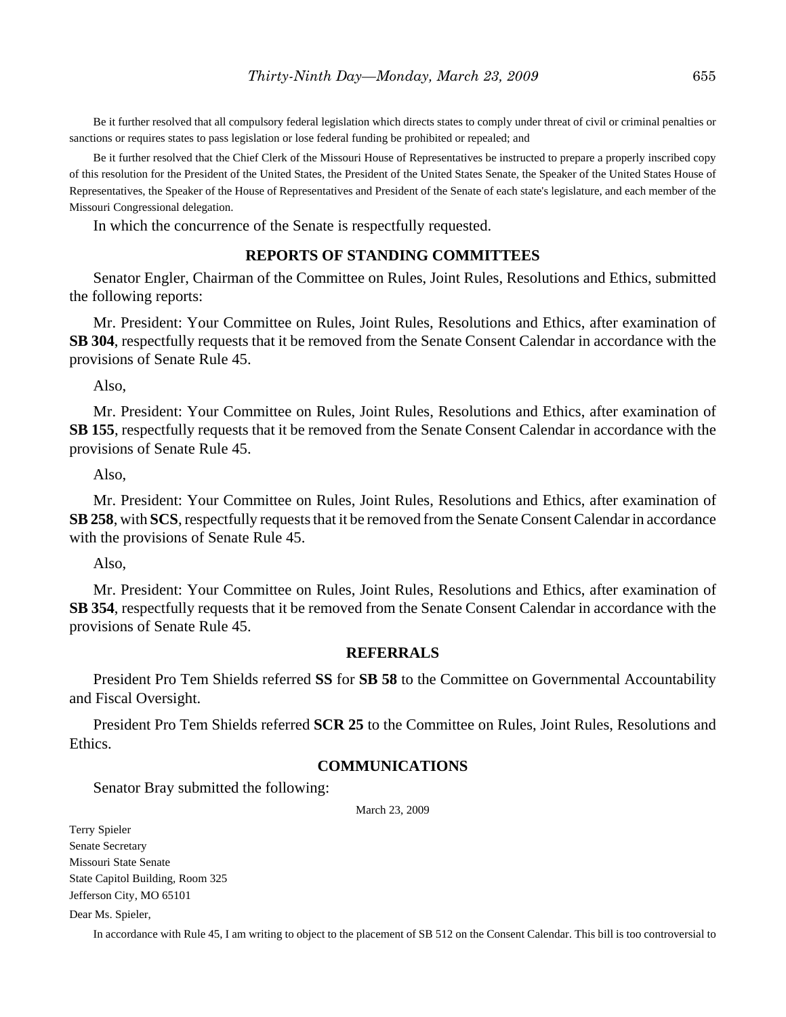Be it further resolved that all compulsory federal legislation which directs states to comply under threat of civil or criminal penalties or sanctions or requires states to pass legislation or lose federal funding be prohibited or repealed; and

Be it further resolved that the Chief Clerk of the Missouri House of Representatives be instructed to prepare a properly inscribed copy of this resolution for the President of the United States, the President of the United States Senate, the Speaker of the United States House of Representatives, the Speaker of the House of Representatives and President of the Senate of each state's legislature, and each member of the Missouri Congressional delegation.

In which the concurrence of the Senate is respectfully requested.

# **REPORTS OF STANDING COMMITTEES**

Senator Engler, Chairman of the Committee on Rules, Joint Rules, Resolutions and Ethics, submitted the following reports:

Mr. President: Your Committee on Rules, Joint Rules, Resolutions and Ethics, after examination of **SB 304**, respectfully requests that it be removed from the Senate Consent Calendar in accordance with the provisions of Senate Rule 45.

Also,

Mr. President: Your Committee on Rules, Joint Rules, Resolutions and Ethics, after examination of **SB 155**, respectfully requests that it be removed from the Senate Consent Calendar in accordance with the provisions of Senate Rule 45.

Also,

Mr. President: Your Committee on Rules, Joint Rules, Resolutions and Ethics, after examination of **SB 258**, with **SCS**, respectfully requests that it be removed from the Senate Consent Calendar in accordance with the provisions of Senate Rule 45.

Also,

Mr. President: Your Committee on Rules, Joint Rules, Resolutions and Ethics, after examination of **SB 354**, respectfully requests that it be removed from the Senate Consent Calendar in accordance with the provisions of Senate Rule 45.

#### **REFERRALS**

President Pro Tem Shields referred **SS** for **SB 58** to the Committee on Governmental Accountability and Fiscal Oversight.

President Pro Tem Shields referred **SCR 25** to the Committee on Rules, Joint Rules, Resolutions and Ethics.

# **COMMUNICATIONS**

Senator Bray submitted the following:

March 23, 2009

Terry Spieler Senate Secretary Missouri State Senate State Capitol Building, Room 325 Jefferson City, MO 65101

Dear Ms. Spieler,

In accordance with Rule 45, I am writing to object to the placement of SB 512 on the Consent Calendar. This bill is too controversial to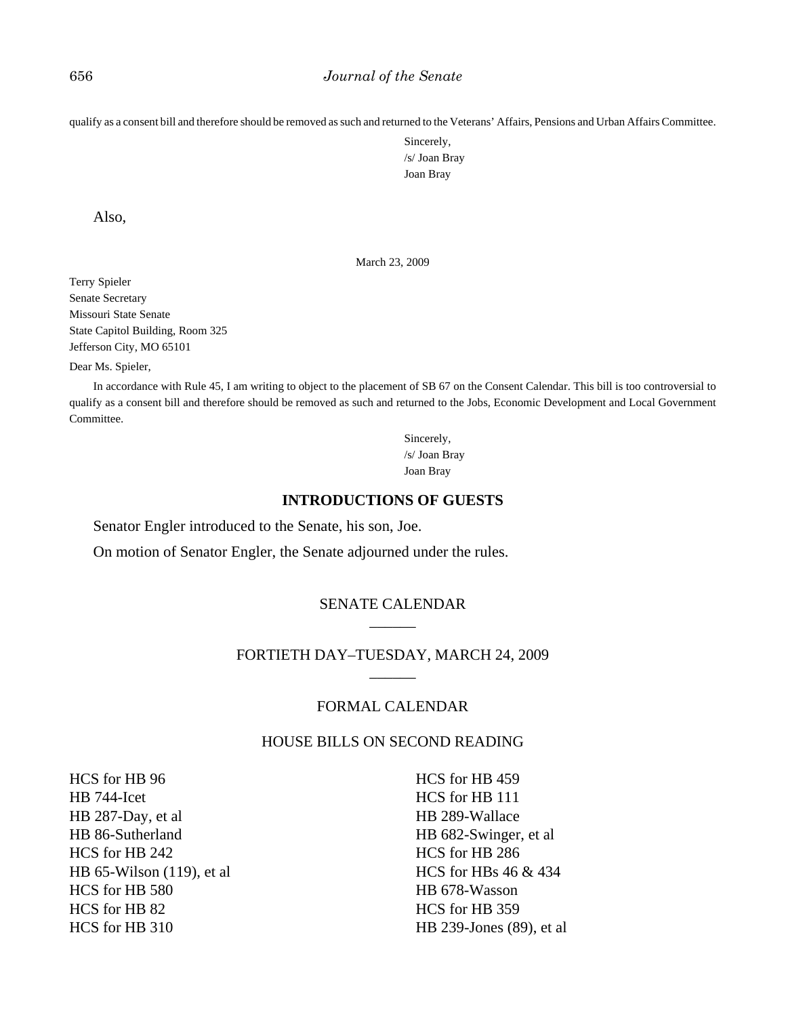qualify as a consent bill and therefore should be removed as such and returned to the Veterans' Affairs, Pensions and Urban Affairs Committee.

Sincerely, /s/ Joan Bray Joan Bray

Also,

March 23, 2009

Terry Spieler Senate Secretary Missouri State Senate State Capitol Building, Room 325 Jefferson City, MO 65101

Dear Ms. Spieler,

In accordance with Rule 45, I am writing to object to the placement of SB 67 on the Consent Calendar. This bill is too controversial to qualify as a consent bill and therefore should be removed as such and returned to the Jobs, Economic Development and Local Government Committee.

> Sincerely, /s/ Joan Bray Joan Bray

#### **INTRODUCTIONS OF GUESTS**

Senator Engler introduced to the Senate, his son, Joe.

On motion of Senator Engler, the Senate adjourned under the rules.

# SENATE CALENDAR \_\_\_\_\_\_

# FORTIETH DAY–TUESDAY, MARCH 24, 2009 \_\_\_\_\_\_

# FORMAL CALENDAR

# HOUSE BILLS ON SECOND READING

HCS for HB 96 HB 744-Icet HB 287-Day, et al HB 86-Sutherland HCS for HB 242 HB 65-Wilson (119), et al HCS for HB 580 HCS for HB 82 HCS for HB 310

HCS for HB 459 HCS for HB 111 HB 289-Wallace HB 682-Swinger, et al HCS for HB 286 HCS for HBs 46 & 434 HB 678-Wasson HCS for HB 359 HB 239-Jones (89), et al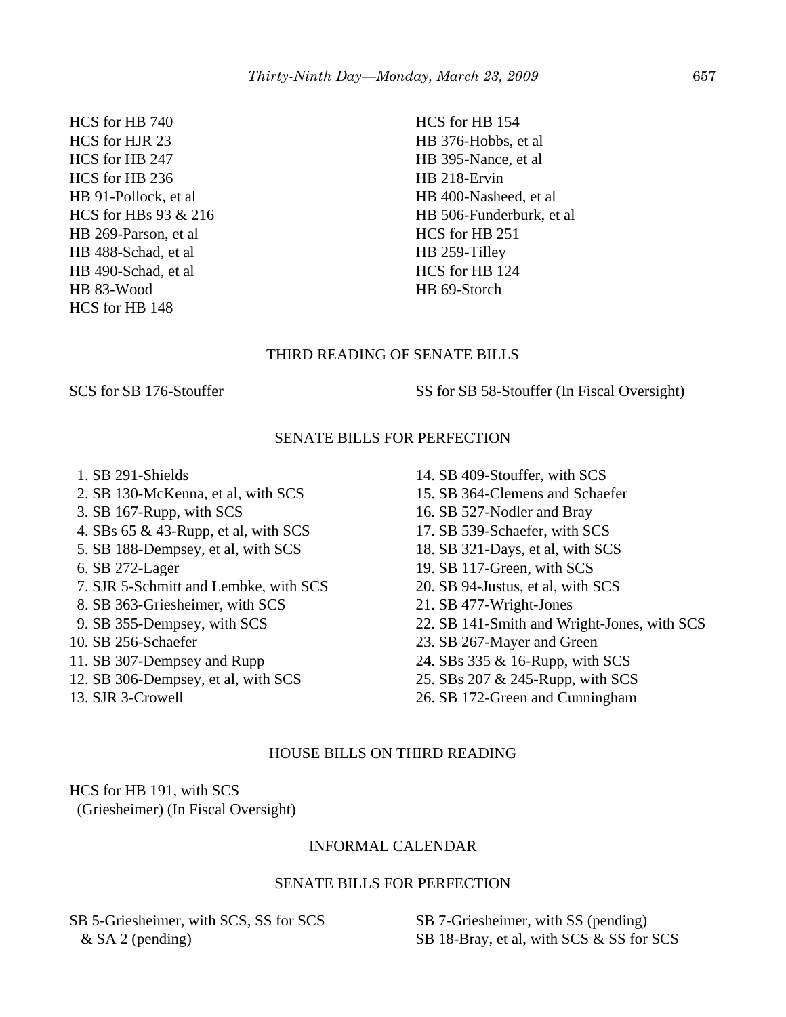HCS for HB 740 HCS for HJR 23 HCS for HB 247 HCS for HB 236 HB 91-Pollock, et al HCS for HBs 93 & 216 HB 269-Parson, et al HB 488-Schad, et al HB 490-Schad, et al HB 83-Wood HCS for HB 148

HCS for HB 154 HB 376-Hobbs, et al HB 395-Nance, et al HB 218-Ervin HB 400-Nasheed, et al HB 506-Funderburk, et al HCS for HB 251 HB 259-Tilley HCS for HB 124 HB 69-Storch

# THIRD READING OF SENATE BILLS

SCS for SB 176-Stouffer SS for SB 58-Stouffer (In Fiscal Oversight)

# SENATE BILLS FOR PERFECTION

- 1. SB 291-Shields
- 2. SB 130-McKenna, et al, with SCS
- 3. SB 167-Rupp, with SCS
- 4. SBs 65 & 43-Rupp, et al, with SCS
- 5. SB 188-Dempsey, et al, with SCS
- 6. SB 272-Lager
- 7. SJR 5-Schmitt and Lembke, with SCS
- 8. SB 363-Griesheimer, with SCS
- 9. SB 355-Dempsey, with SCS
- 10. SB 256-Schaefer
- 11. SB 307-Dempsey and Rupp
- 12. SB 306-Dempsey, et al, with SCS
- 13. SJR 3-Crowell
- 14. SB 409-Stouffer, with SCS
- 15. SB 364-Clemens and Schaefer
- 16. SB 527-Nodler and Bray
- 17. SB 539-Schaefer, with SCS
- 18. SB 321-Days, et al, with SCS
- 19. SB 117-Green, with SCS
- 20. SB 94-Justus, et al, with SCS
- 21. SB 477-Wright-Jones
- 22. SB 141-Smith and Wright-Jones, with SCS
- 23. SB 267-Mayer and Green
- 24. SBs 335 & 16-Rupp, with SCS
- 25. SBs 207 & 245-Rupp, with SCS
- 26. SB 172-Green and Cunningham

# HOUSE BILLS ON THIRD READING

HCS for HB 191, with SCS (Griesheimer) (In Fiscal Oversight)

# INFORMAL CALENDAR

# SENATE BILLS FOR PERFECTION

SB 5-Griesheimer, with SCS, SS for SCS & SA 2 (pending)

SB 7-Griesheimer, with SS (pending) SB 18-Bray, et al, with SCS & SS for SCS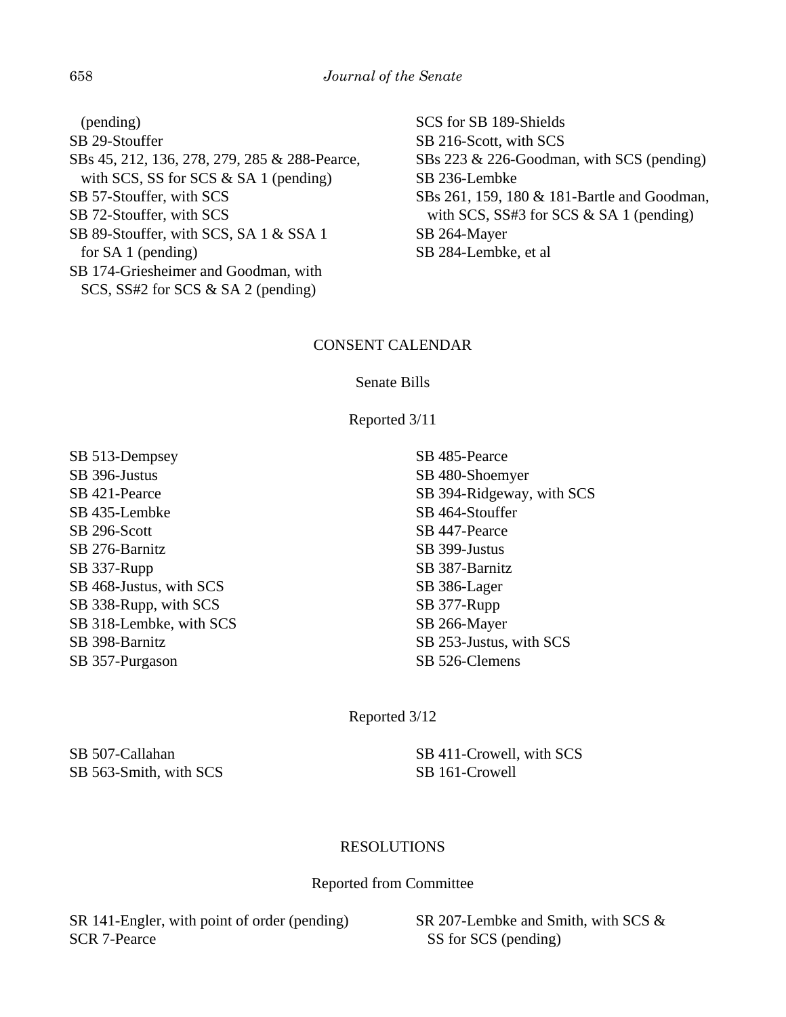(pending) SB 29-Stouffer SBs 45, 212, 136, 278, 279, 285 & 288-Pearce, with SCS, SS for SCS & SA 1 (pending) SB 57-Stouffer, with SCS SB 72-Stouffer, with SCS SB 89-Stouffer, with SCS, SA 1 & SSA 1 for SA 1 (pending) SB 174-Griesheimer and Goodman, with SCS, SS#2 for SCS & SA 2 (pending)

SCS for SB 189-Shields SB 216-Scott, with SCS SBs 223 & 226-Goodman, with SCS (pending) SB 236-Lembke SBs 261, 159, 180 & 181-Bartle and Goodman, with SCS, SS#3 for SCS & SA 1 (pending) SB 264-Mayer SB 284-Lembke, et al

# CONSENT CALENDAR

# Senate Bills

Reported 3/11

SB 513-Dempsey SB 396-Justus SB 421-Pearce SB 435-Lembke SB 296-Scott SB 276-Barnitz SB 337-Rupp SB 468-Justus, with SCS SB 338-Rupp, with SCS SB 318-Lembke, with SCS SB 398-Barnitz SB 357-Purgason

SB 485-Pearce SB 480-Shoemyer SB 394-Ridgeway, with SCS SB 464-Stouffer SB 447-Pearce SB 399-Justus SB 387-Barnitz SB 386-Lager SB 377-Rupp SB 266-Mayer SB 253-Justus, with SCS SB 526-Clemens

Reported 3/12

SB 507-Callahan SB 563-Smith, with SCS SB 411-Crowell, with SCS SB 161-Crowell

# RESOLUTIONS

# Reported from Committee

SR 141-Engler, with point of order (pending) SCR 7-Pearce

SR 207-Lembke and Smith, with SCS & SS for SCS (pending)